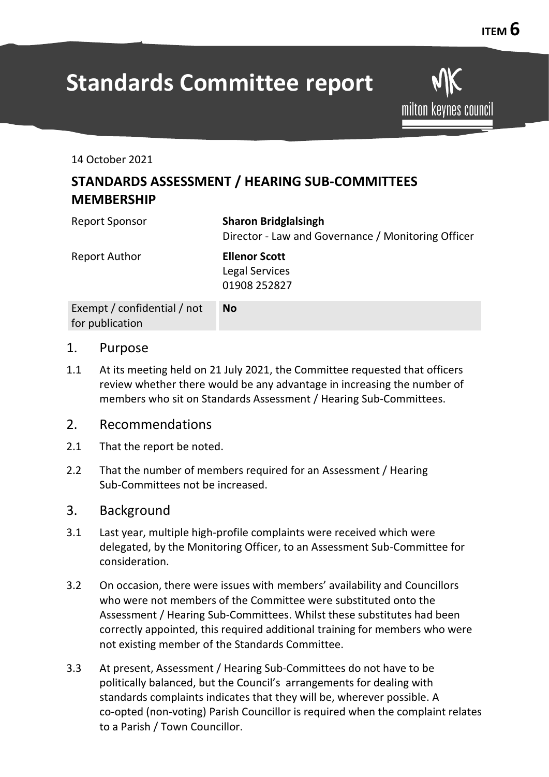milton keynes council

# **Standards Committee report**

14 October 2021

## **STANDARDS ASSESSMENT / HEARING SUB-COMMITTEES MEMBERSHIP**

| <b>Report Sponsor</b>                          | <b>Sharon Bridglalsingh</b><br>Director - Law and Governance / Monitoring Officer |
|------------------------------------------------|-----------------------------------------------------------------------------------|
| <b>Report Author</b>                           | <b>Ellenor Scott</b><br><b>Legal Services</b><br>01908 252827                     |
| Exempt / confidential / not<br>for publication | <b>No</b>                                                                         |

#### 1. Purpose

1.1 At its meeting held on 21 July 2021, the Committee requested that officers review whether there would be any advantage in increasing the number of members who sit on Standards Assessment / Hearing Sub-Committees.

#### 2. Recommendations

- 2.1 That the report be noted.
- 2.2 That the number of members required for an Assessment / Hearing Sub-Committees not be increased.

#### 3. Background

- 3.1 Last year, multiple high-profile complaints were received which were delegated, by the Monitoring Officer, to an Assessment Sub-Committee for consideration.
- 3.2 On occasion, there were issues with members' availability and Councillors who were not members of the Committee were substituted onto the Assessment / Hearing Sub-Committees. Whilst these substitutes had been correctly appointed, this required additional training for members who were not existing member of the Standards Committee.
- 3.3 At present, Assessment / Hearing Sub-Committees do not have to be politically balanced, but the Council's arrangements for dealing with standards complaints indicates that they will be, wherever possible. A co-opted (non-voting) Parish Councillor is required when the complaint relates to a Parish / Town Councillor.